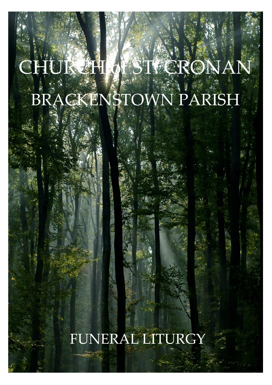# CHURCH OF ST. CRON BRACKENSTOWN PARISH

## FUNERAL LITURGY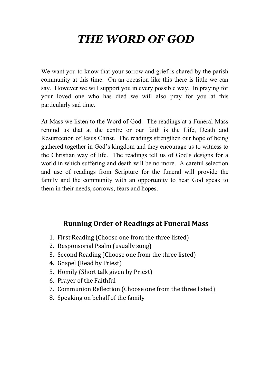## *THE WORD OF GOD*

We want you to know that your sorrow and grief is shared by the parish community at this time. On an occasion like this there is little we can say. However we will support you in every possible way. In praying for your loved one who has died we will also pray for you at this particularly sad time.

At Mass we listen to the Word of God. The readings at a Funeral Mass remind us that at the centre or our faith is the Life, Death and Resurrection of Jesus Christ. The readings strengthen our hope of being gathered together in God's kingdom and they encourage us to witness to the Christian way of life. The readings tell us of God's designs for a world in which suffering and death will be no more. A careful selection and use of readings from Scripture for the funeral will provide the family and the community with an opportunity to hear God speak to them in their needs, sorrows, fears and hopes.

#### **Running Order of Readings at Funeral Mass**

- 1. First Reading (Choose one from the three listed)
- 2. Responsorial Psalm (usually sung)
- 3. Second Reading (Choose one from the three listed)
- 4. Gospel (Read by Priest)
- 5. Homily (Short talk given by Priest)
- 6. Prayer of the Faithful
- 7. Communion Reflection (Choose one from the three listed)
- 8. Speaking on behalf of the family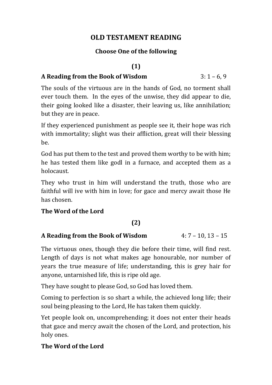#### **OLD TESTAMENT READING**

#### **Choose One of the following**

#### **(1)**

#### **A Reading from the Book of Wisdom** 3: 1 – 6, 9

The souls of the virtuous are in the hands of God, no torment shall ever touch them. In the eyes of the unwise, they did appear to die, their going looked like a disaster, their leaving us, like annihilation; but they are in peace.

If they experienced punishment as people see it, their hope was rich with immortality; slight was their affliction, great will their blessing be.

God has put them to the test and proved them worthy to be with him; he has tested them like godl in a furnace, and accepted them as a holocaust.

They who trust in him will understand the truth, those who are faithful will ive with him in love; for gace and mercy await those He has chosen.

#### **The Word of the Lord**

#### **(2)**

#### **A Reading from the Book of Wisdom** 4: 7 – 10, 13 – 15

The virtuous ones, though they die before their time, will find rest. Length of days is not what makes age honourable, nor number of years the true measure of life; understanding, this is grey hair for anyone, untarnished life, this is ripe old age.

They have sought to please God, so God has loved them.

Coming to perfection is so shart a while, the achieved long life; their soul being pleasing to the Lord, He has taken them quickly.

Yet people look on, uncomprehending; it does not enter their heads that gace and mercy await the chosen of the Lord, and protection, his holy ones.

#### **The Word of the Lord**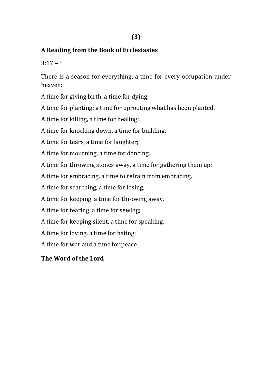#### **A Reading from the Book of Ecclesiastes**

 $3:17 - 8$ 

There is a season for everything, a time for every occupation under heaven:

A time for giving birth, a time for dying;

A time for planting; a time for uprooting what has been planted.

A time for killing, a time for healing;

A time for knocking down, a time for building.

A time for tears, a time for laughter;

A time for mourning, a time for dancing.

A time for throwing stones away, a time for gathering them up;

A time for embracing, a time to refrain from embracing.

A time for searching, a time for losing;

A time for keeping, a time for throwing away.

A time for tearing, a time for sewing;

A time for keeping silent, a time for speaking.

A time for loving, a time for hating;

A time for war and a time for peace.

#### **The Word of the Lord**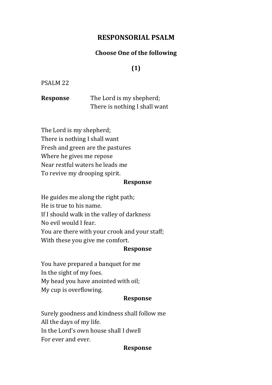#### **RESPONSORIAL PSALM**

#### **Choose One of the following**

#### **(1)**

#### PSALM 22

**Response** The Lord is my shepherd; There is nothing I shall want

The Lord is my shepherd; There is nothing I shall want Fresh and green are the pastures Where he gives me repose Near restful waters he leads me To revive my drooping spirit.

#### **Response**

He guides me along the right path; He is true to his name. If I should walk in the valley of darkness No evil would I fear. You are there with your crook and your staff; With these you give me comfort.

#### **Response**

You have prepared a banquet for me In the sight of my foes. My head you have anointed with oil; My cup is overflowing.

#### **Response**

Surely goodness and kindness shall follow me All the days of my life. In the Lord's own house shall I dwell For ever and ever.

#### **Response**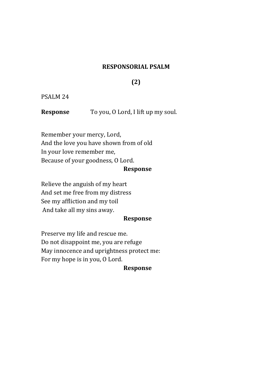#### **RESPONSORIAL PSALM**

#### **(2)**

#### PSALM 24

**Response** To you, O Lord, I lift up my soul.

Remember your mercy, Lord, And the love you have shown from of old In your love remember me, Because of your goodness, O Lord.

#### **Response**

Relieve the anguish of my heart And set me free from my distress See my affliction and my toil And take all my sins away.

#### **Response**

Preserve my life and rescue me. Do not disappoint me, you are refuge May innocence and uprightness protect me: For my hope is in you, O Lord.

#### **Response**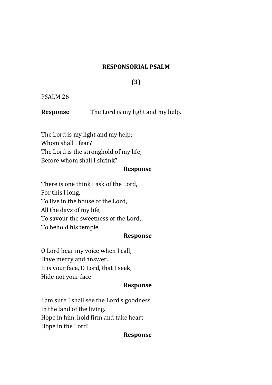#### **RESPONSORIAL PSALM**

#### **(3)**

#### PSALM 26

**Response** The Lord is my light and my help.

The Lord is my light and my help; Whom shall I fear? The Lord is the stronghold of my life; Before whom shall I shrink?

#### **Response**

There is one think I ask of the Lord, For this I long, To live in the house of the Lord, All the days of my life, To savour the sweetness of the Lord, To behold his temple.

#### **Response**

O Lord hear my voice when I call; Have mercy and answer. It is your face, O Lord, that I seek; Hide not your face

#### **Response**

I am sure I shall see the Lord's goodness In the land of the living. Hope in him, hold firm and take heart Hope in the Lord!

#### **Response**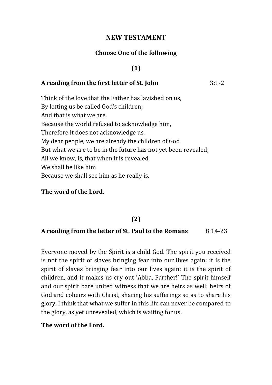#### **NEW TESTAMENT**

#### **Choose One of the following**

#### **(1)**

#### **A reading from the first letter of St. John** 3:1-2

Think of the love that the Father has lavished on us, By letting us be called God's children; And that is what we are. Because the world refused to acknowledge him, Therefore it does not acknowledge us. My dear people, we are already the children of God But what we are to be in the future has not yet been revealed; All we know, is, that when it is revealed We shall be like him Because we shall see him as he really is.

#### **The word of the Lord.**

#### **(2)**

#### **A reading from the letter of St. Paul to the Romans** 8:14-23

Everyone moved by the Spirit is a child God. The spirit you received is not the spirit of slaves bringing fear into our lives again; it is the spirit of slaves bringing fear into our lives again; it is the spirit of children, and it makes us cry out 'Abba, Farther!' The spirit himself and our spirit bare united witness that we are heirs as well: heirs of God and coheirs with Christ, sharing his sufferings so as to share his glory. I think that what we suffer in this life can never be compared to the glory, as yet unrevealed, which is waiting for us.

#### **The word of the Lord.**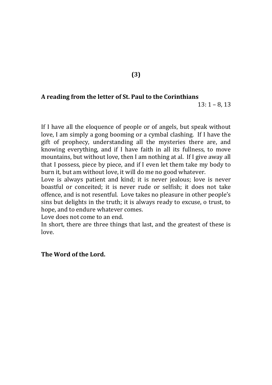#### **A reading from the letter of St. Paul to the Corinthians**

13: 1 – 8, 13

If I have all the eloquence of people or of angels, but speak without love, I am simply a gong booming or a cymbal clashing. If I have the gift of prophecy, understanding all the mysteries there are, and knowing everything, and if I have faith in all its fullness, to move mountains, but without love, then I am nothing at al. If I give away all that I possess, piece by piece, and if I even let them take my body to burn it, but am without love, it will do me no good whatever.

Love is always patient and kind; it is never jealous; love is never boastful or conceited; it is never rude or selfish; it does not take offence, and is not resentful. Love takes no pleasure in other people's sins but delights in the truth; it is always ready to excuse, o trust, to hope, and to endure whatever comes.

Love does not come to an end.

In short, there are three things that last, and the greatest of these is love.

#### **The Word of the Lord.**

**(3)**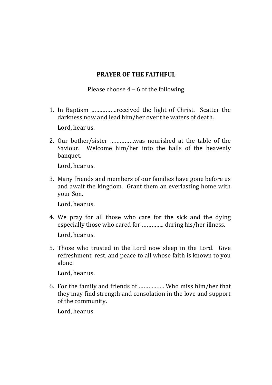#### **PRAYER OF THE FAITHFUL**

Please choose  $4 - 6$  of the following

- 1. In Baptism …………….received the light of Christ. Scatter the darkness now and lead him/her over the waters of death. Lord, hear us.
- 2. Our bother/sister ……………was nourished at the table of the Saviour. Welcome him/her into the halls of the heavenly banquet.

Lord, hear us.

3. Many friends and members of our families have gone before us and await the kingdom. Grant them an everlasting home with your Son.

Lord, hear us.

- 4. We pray for all those who care for the sick and the dying especially those who cared for ………….. during his/her illness. Lord, hear us.
- 5. Those who trusted in the Lord now sleep in the Lord. Give refreshment, rest, and peace to all whose faith is known to you alone.

Lord, hear us.

6. For the family and friends of ……………. Who miss him/her that they may find strength and consolation in the love and support of the community.

Lord, hear us.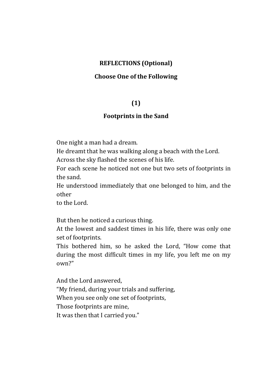#### **REFLECTIONS (Optional)**

#### **Choose One of the Following**

#### **(1)**

#### **Footprints in the Sand**

One night a man had a dream.

He dreamt that he was walking along a beach with the Lord.

Across the sky flashed the scenes of his life.

For each scene he noticed not one but two sets of footprints in the sand.

He understood immediately that one belonged to him, and the other

to the Lord.

But then he noticed a curious thing.

At the lowest and saddest times in his life, there was only one set of footprints.

This bothered him, so he asked the Lord, "How come that during the most difficult times in my life, you left me on my own?"

And the Lord answered, "My friend, during your trials and suffering, When you see only one set of footprints, Those footprints are mine, It was then that I carried you."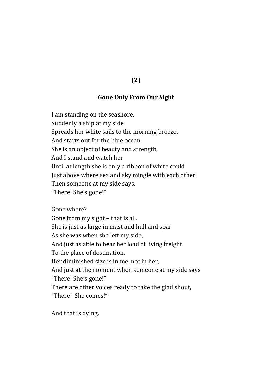#### **(2)**

#### **Gone Only From Our Sight**

I am standing on the seashore. Suddenly a ship at my side Spreads her white sails to the morning breeze, And starts out for the blue ocean. She is an object of beauty and strength, And I stand and watch her Until at length she is only a ribbon of white could Just above where sea and sky mingle with each other. Then someone at my side says, "There! She's gone!"

Gone where? Gone from my sight – that is all. She is just as large in mast and hull and spar As she was when she left my side, And just as able to bear her load of living freight To the place of destination. Her diminished size is in me, not in her, And just at the moment when someone at my side says "There! She's gone!" There are other voices ready to take the glad shout, "There! She comes!"

And that is dying.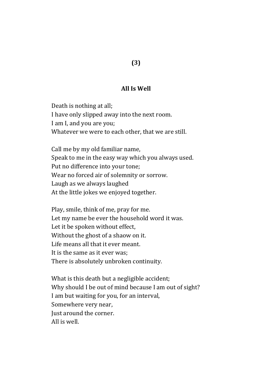## **(3)**

#### **All Is Well**

Death is nothing at all; I have only slipped away into the next room. I am I, and you are you; Whatever we were to each other, that we are still.

Call me by my old familiar name, Speak to me in the easy way which you always used. Put no difference into your tone; Wear no forced air of solemnity or sorrow. Laugh as we always laughed At the little jokes we enjoyed together.

Play, smile, think of me, pray for me. Let my name be ever the household word it was. Let it be spoken without effect, Without the ghost of a shaow on it. Life means all that it ever meant. It is the same as it ever was; There is absolutely unbroken continuity.

What is this death but a negligible accident; Why should I be out of mind because I am out of sight? I am but waiting for you, for an interval, Somewhere very near, Just around the corner. All is well.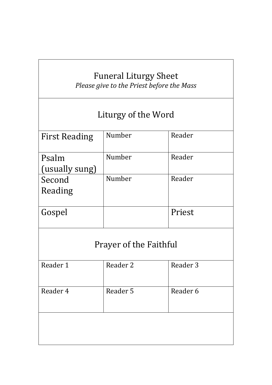### Funeral Liturgy Sheet *Please give to the Priest before the Mass*

## Liturgy of the Word

| <b>First Reading</b>    | Number | Reader |
|-------------------------|--------|--------|
| Psalm<br>(usually sung) | Number | Reader |
| Second<br>Reading       | Number | Reader |
| Gospel                  |        | Priest |
|                         |        |        |

## Prayer of the Faithful

| Reader 1 | Reader 2 | Reader 3 |
|----------|----------|----------|
| Reader 4 | Reader 5 | Reader 6 |
|          |          |          |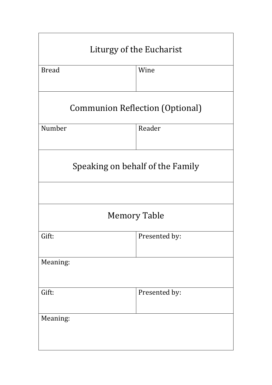| Liturgy of the Eucharist               |               |  |
|----------------------------------------|---------------|--|
| <b>Bread</b>                           | Wine          |  |
| <b>Communion Reflection (Optional)</b> |               |  |
| Number                                 | Reader        |  |
| Speaking on behalf of the Family       |               |  |
|                                        |               |  |
| <b>Memory Table</b>                    |               |  |
| Gift:                                  | Presented by: |  |
| Meaning:                               |               |  |
| Gift:                                  | Presented by: |  |
| Meaning:                               |               |  |